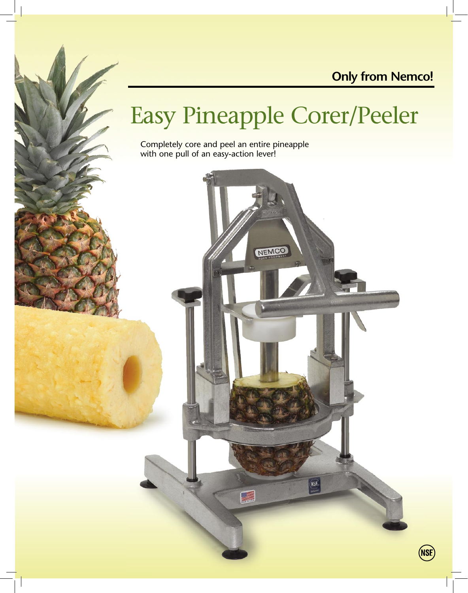### **Only from Nemco!**

# Easy Pineapple Corer/Peeler

Completely core and peel an entire pineapple with one pull of an easy-action lever!